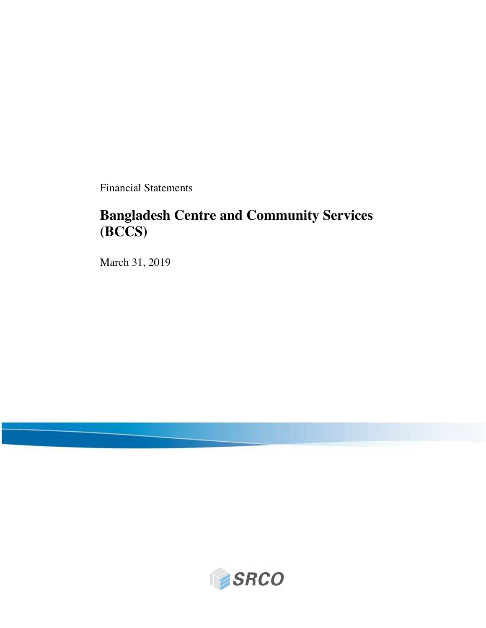Financial Statements

# **Bangladesh Centre and Community Services (BCCS)**

March 31, 2019

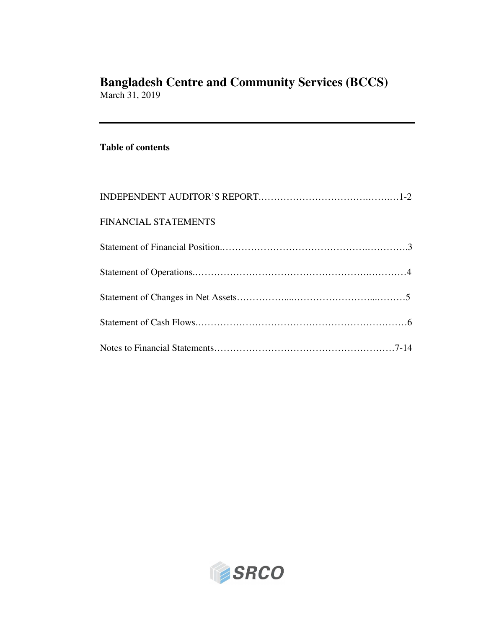March 31, 2019

### **Table of contents**

| FINANCIAL STATEMENTS |  |
|----------------------|--|
|                      |  |
|                      |  |
|                      |  |
|                      |  |
|                      |  |

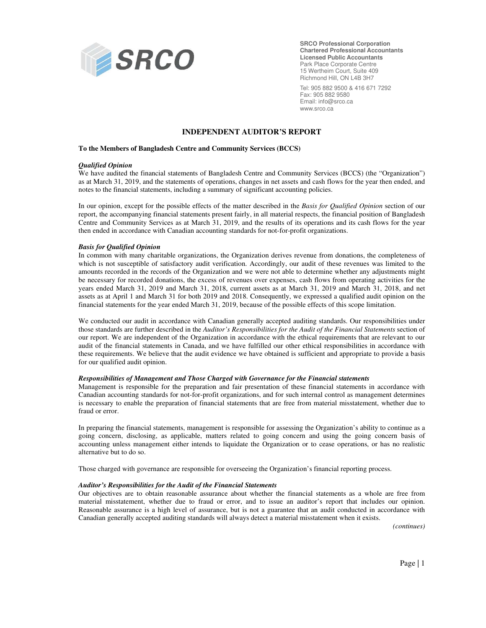

**SRCO Professional Corporation Chartered Professional Accountants Licensed Public Accountants**  Park Place Corporate Centre 15 Wertheim Court, Suite 409 Richmond Hill, ON L4B 3H7

Tel: 905 882 9500 & 416 671 7292 Fax: 905 882 9580 Email: info@srco.ca www.srco.ca

#### **INDEPENDENT AUDITOR'S REPORT**

#### **To the Members of Bangladesh Centre and Community Services (BCCS)**

#### *Qualified Opinion*

We have audited the financial statements of Bangladesh Centre and Community Services (BCCS) (the "Organization") as at March 31, 2019, and the statements of operations, changes in net assets and cash flows for the year then ended, and notes to the financial statements, including a summary of significant accounting policies.

In our opinion, except for the possible effects of the matter described in the *Basis for Qualified Opinion* section of our report, the accompanying financial statements present fairly, in all material respects, the financial position of Bangladesh Centre and Community Services as at March 31, 2019, and the results of its operations and its cash flows for the year then ended in accordance with Canadian accounting standards for not-for-profit organizations.

#### *Basis for Qualified Opinion*

In common with many charitable organizations, the Organization derives revenue from donations, the completeness of which is not susceptible of satisfactory audit verification. Accordingly, our audit of these revenues was limited to the amounts recorded in the records of the Organization and we were not able to determine whether any adjustments might be necessary for recorded donations, the excess of revenues over expenses, cash flows from operating activities for the years ended March 31, 2019 and March 31, 2018, current assets as at March 31, 2019 and March 31, 2018, and net assets as at April 1 and March 31 for both 2019 and 2018. Consequently, we expressed a qualified audit opinion on the financial statements for the year ended March 31, 2019, because of the possible effects of this scope limitation.

We conducted our audit in accordance with Canadian generally accepted auditing standards. Our responsibilities under those standards are further described in the *Auditor's Responsibilities for the Audit of the Financial Statements* section of our report. We are independent of the Organization in accordance with the ethical requirements that are relevant to our audit of the financial statements in Canada, and we have fulfilled our other ethical responsibilities in accordance with these requirements. We believe that the audit evidence we have obtained is sufficient and appropriate to provide a basis for our qualified audit opinion.

#### *Responsibilities of Management and Those Charged with Governance for the Financial statements*

Management is responsible for the preparation and fair presentation of these financial statements in accordance with Canadian accounting standards for not-for-profit organizations, and for such internal control as management determines is necessary to enable the preparation of financial statements that are free from material misstatement, whether due to fraud or error.

In preparing the financial statements, management is responsible for assessing the Organization's ability to continue as a going concern, disclosing, as applicable, matters related to going concern and using the going concern basis of accounting unless management either intends to liquidate the Organization or to cease operations, or has no realistic alternative but to do so.

Those charged with governance are responsible for overseeing the Organization's financial reporting process.

#### *Auditor's Responsibilities for the Audit of the Financial Statements*

Our objectives are to obtain reasonable assurance about whether the financial statements as a whole are free from material misstatement, whether due to fraud or error, and to issue an auditor's report that includes our opinion. Reasonable assurance is a high level of assurance, but is not a guarantee that an audit conducted in accordance with Canadian generally accepted auditing standards will always detect a material misstatement when it exists.

*(continues)*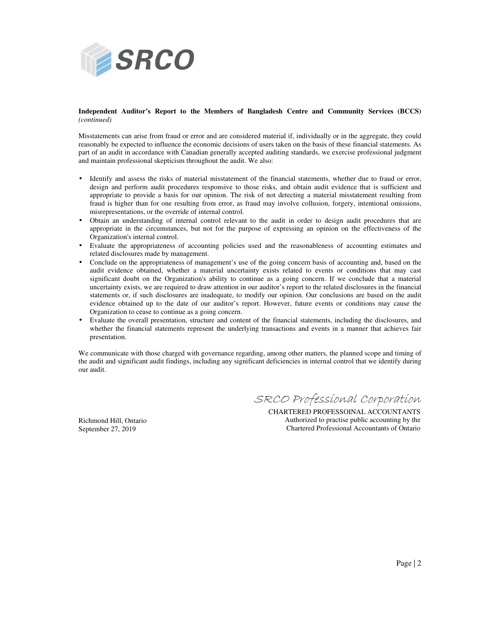

#### **Independent Auditor's Report to the Members of Bangladesh Centre and Community Services (BCCS)**  *(continued)*

Misstatements can arise from fraud or error and are considered material if, individually or in the aggregate, they could reasonably be expected to influence the economic decisions of users taken on the basis of these financial statements. As part of an audit in accordance with Canadian generally accepted auditing standards, we exercise professional judgment and maintain professional skepticism throughout the audit. We also:

- Identify and assess the risks of material misstatement of the financial statements, whether due to fraud or error, design and perform audit procedures responsive to those risks, and obtain audit evidence that is sufficient and appropriate to provide a basis for our opinion. The risk of not detecting a material misstatement resulting from fraud is higher than for one resulting from error, as fraud may involve collusion, forgery, intentional omissions, misrepresentations, or the override of internal control.
- Obtain an understanding of internal control relevant to the audit in order to design audit procedures that are appropriate in the circumstances, but not for the purpose of expressing an opinion on the effectiveness of the Organization's internal control.
- Evaluate the appropriateness of accounting policies used and the reasonableness of accounting estimates and related disclosures made by management.
- Conclude on the appropriateness of management's use of the going concern basis of accounting and, based on the audit evidence obtained, whether a material uncertainty exists related to events or conditions that may cast significant doubt on the Organization's ability to continue as a going concern. If we conclude that a material uncertainty exists, we are required to draw attention in our auditor's report to the related disclosures in the financial statements or, if such disclosures are inadequate, to modify our opinion. Our conclusions are based on the audit evidence obtained up to the date of our auditor's report. However, future events or conditions may cause the Organization to cease to continue as a going concern.
- Evaluate the overall presentation, structure and content of the financial statements, including the disclosures, and whether the financial statements represent the underlying transactions and events in a manner that achieves fair presentation.

We communicate with those charged with governance regarding, among other matters, the planned scope and timing of the audit and significant audit findings, including any significant deficiencies in internal control that we identify during our audit.

SRCO Professional Corporation

Richmond Hill, Ontario September 27, 2019

CHARTERED PROFESSOINAL ACCOUNTANTS Authorized to practise public accounting by the Chartered Professional Accountants of Ontario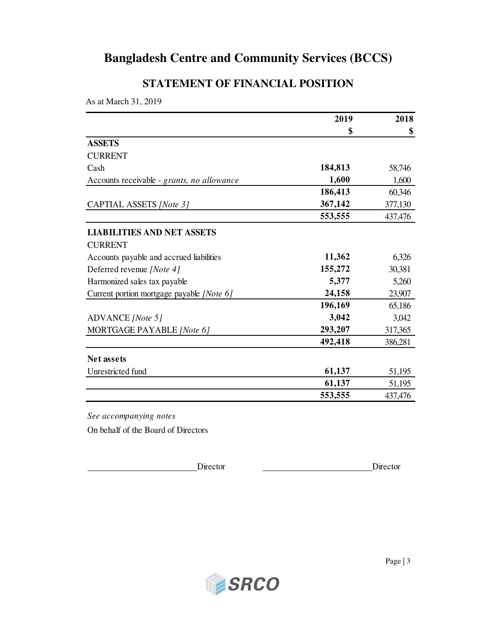## **STATEMENT OF FINANCIAL POSITION**

As at March 31, 2019

| \$      | \$                          |
|---------|-----------------------------|
|         |                             |
|         |                             |
|         |                             |
| 184,813 | 58,746                      |
| 1,600   | 1,600                       |
| 186,413 | 60,346                      |
| 367,142 | 377,130                     |
| 553,555 | 437,476                     |
|         |                             |
|         |                             |
| 11,362  | 6,326                       |
| 155,272 | 30,381                      |
| 5,377   | 5,260                       |
| 24,158  | 23,907                      |
| 196,169 | 65,186                      |
| 3,042   | 3,042                       |
| 293,207 | 317,365                     |
| 492,418 | 386,281                     |
|         |                             |
|         | 51,195                      |
|         | 51,195                      |
|         | 437,476                     |
|         | 61,137<br>61,137<br>553,555 |

On behalf of the Board of Directors

Director Director

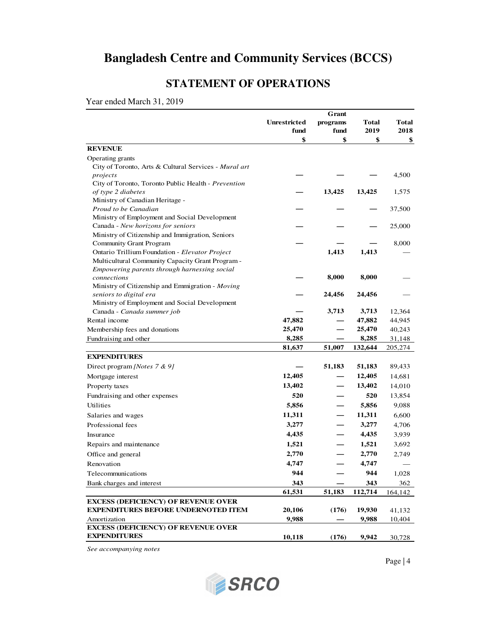# **STATEMENT OF OPERATIONS**

Year ended March 31, 2019

|                                                       |                     | Grant    |                  |         |  |
|-------------------------------------------------------|---------------------|----------|------------------|---------|--|
|                                                       | <b>Unrestricted</b> | programs | <b>Total</b>     | Total   |  |
|                                                       | fund                | fund     | 2019             | 2018    |  |
|                                                       | \$                  | \$       | \$               | \$      |  |
| <b>REVENUE</b>                                        |                     |          |                  |         |  |
| Operating grants                                      |                     |          |                  |         |  |
| City of Toronto, Arts & Cultural Services - Mural art |                     |          |                  |         |  |
| projects                                              |                     |          |                  | 4,500   |  |
| City of Toronto, Toronto Public Health - Prevention   |                     |          |                  |         |  |
| of type 2 diabetes<br>Ministry of Canadian Heritage - |                     | 13,425   | 13,425           | 1,575   |  |
| Proud to be Canadian                                  |                     |          |                  | 37,500  |  |
| Ministry of Employment and Social Development         |                     |          |                  |         |  |
| Canada - New horizons for seniors                     |                     |          |                  | 25,000  |  |
| Ministry of Citizenship and Immigration, Seniors      |                     |          |                  |         |  |
| <b>Community Grant Program</b>                        |                     |          |                  | 8,000   |  |
| Ontario Trillium Foundation - Elevator Project        |                     | 1,413    | 1,413            |         |  |
| Multicultural Community Capacity Grant Program -      |                     |          |                  |         |  |
| Empowering parents through harnessing social          |                     |          |                  |         |  |
| connections                                           |                     | 8,000    | 8,000            |         |  |
| Ministry of Citizenship and Emmigration - Moving      |                     |          |                  |         |  |
| seniors to digital era                                |                     | 24,456   | 24,456           |         |  |
| Ministry of Employment and Social Development         |                     |          |                  |         |  |
| Canada - Canada summer job                            |                     | 3,713    | 3,713            | 12,364  |  |
| Rental income                                         | 47,882              |          | 47,882           | 44,945  |  |
| Membership fees and donations                         | 25,470              |          | 25,470           | 40,243  |  |
| Fundraising and other                                 | 8,285<br>81,637     | 51,007   | 8,285<br>132,644 | 31,148  |  |
| <b>EXPENDITURES</b>                                   |                     |          |                  | 205,274 |  |
| Direct program [Notes 7 & 9]                          |                     | 51,183   | 51,183           |         |  |
|                                                       |                     |          | 12,405           | 89,433  |  |
| Mortgage interest                                     | 12,405<br>13,402    |          | 13,402           | 14,681  |  |
| Property taxes                                        | 520                 |          | 520              | 14,010  |  |
| Fundraising and other expenses                        |                     |          |                  | 13,854  |  |
| Utilities                                             | 5,856               |          | 5,856            | 9,088   |  |
| Salaries and wages                                    | 11,311              |          | 11,311           | 6,600   |  |
| Professional fees                                     | 3,277               |          | 3,277            | 4,706   |  |
| Insurance                                             | 4,435               |          | 4,435            | 3,939   |  |
| Repairs and maintenance                               | 1,521               |          | 1,521            | 3,692   |  |
| Office and general                                    | 2,770               |          | 2,770            | 2,749   |  |
| Renovation                                            | 4,747               |          | 4,747            |         |  |
| Telecommunications                                    | 944                 |          | 944              | 1,028   |  |
| Bank charges and interest                             | 343                 |          | 343              | 362     |  |
|                                                       | 61,531              | 51,183   | 112,714          | 164,142 |  |
| <b>EXCESS (DEFICIENCY) OF REVENUE OVER</b>            |                     |          |                  |         |  |
| <b>EXPENDITURES BEFORE UNDERNOTED ITEM</b>            | 20,106              | (176)    | 19,930           | 41,132  |  |
| Amortization                                          | 9,988               |          | 9,988            | 10,404  |  |
| <b>EXCESS (DEFICIENCY) OF REVENUE OVER</b>            |                     |          |                  |         |  |
| <b>EXPENDITURES</b>                                   | 10,118              | (176)    | 9,942            | 30,728  |  |

*See accompanying notes*



Page | 4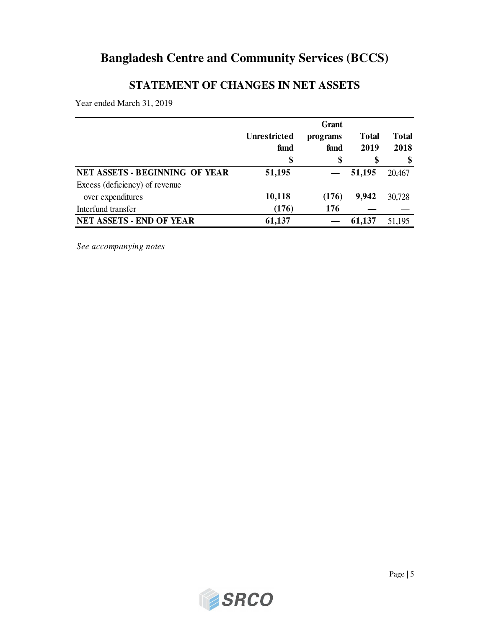## **STATEMENT OF CHANGES IN NET ASSETS**

Year ended March 31, 2019

|                                       | Unrestricted | programs | <b>Total</b> | <b>Total</b> |
|---------------------------------------|--------------|----------|--------------|--------------|
|                                       | fund         | fund     | 2019         | 2018         |
|                                       | \$           | \$       | \$           | \$           |
| <b>NET ASSETS - BEGINNING OF YEAR</b> | 51,195       |          | 51,195       | 20,467       |
| Excess (deficiency) of revenue        |              |          |              |              |
| over expenditures                     | 10,118       | (176)    | 9,942        | 30,728       |
| Interfund transfer                    | (176)        | 176      |              |              |
| <b>NET ASSETS - END OF YEAR</b>       | 61,137       |          | 61,137       | 51,195       |

*See accompanying notes*

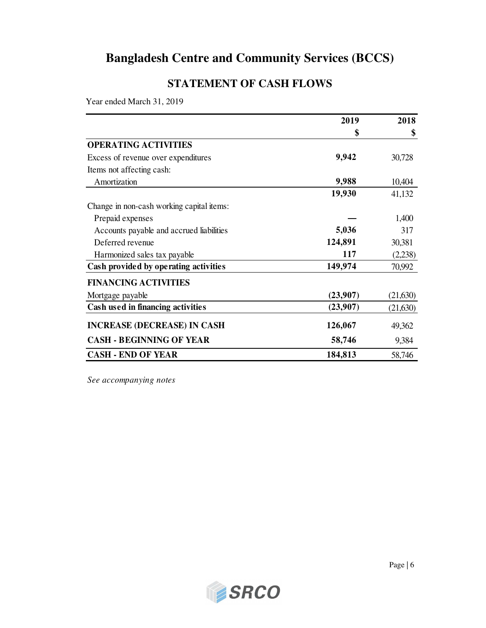## **STATEMENT OF CASH FLOWS**

Year ended March 31, 2019

|                                           | 2019     | 2018     |
|-------------------------------------------|----------|----------|
|                                           | \$       | \$       |
| <b>OPERATING ACTIVITIES</b>               |          |          |
| Excess of revenue over expenditures       | 9,942    | 30,728   |
| Items not affecting cash:                 |          |          |
| Amortization                              | 9,988    | 10,404   |
|                                           | 19,930   | 41,132   |
| Change in non-cash working capital items: |          |          |
| Prepaid expenses                          |          | 1,400    |
| Accounts payable and accrued liabilities  | 5,036    | 317      |
| Deferred revenue                          | 124,891  | 30,381   |
| Harmonized sales tax payable              | 117      | (2,238)  |
| Cash provided by operating activities     | 149,974  | 70,992   |
| <b>FINANCING ACTIVITIES</b>               |          |          |
| Mortgage payable                          | (23,907) | (21,630) |
| Cash used in financing activities         | (23,907) | (21,630) |
| <b>INCREASE (DECREASE) IN CASH</b>        | 126,067  | 49,362   |
| <b>CASH - BEGINNING OF YEAR</b>           | 58,746   | 9,384    |
| <b>CASH - END OF YEAR</b>                 | 184,813  | 58,746   |

*See accompanying notes*

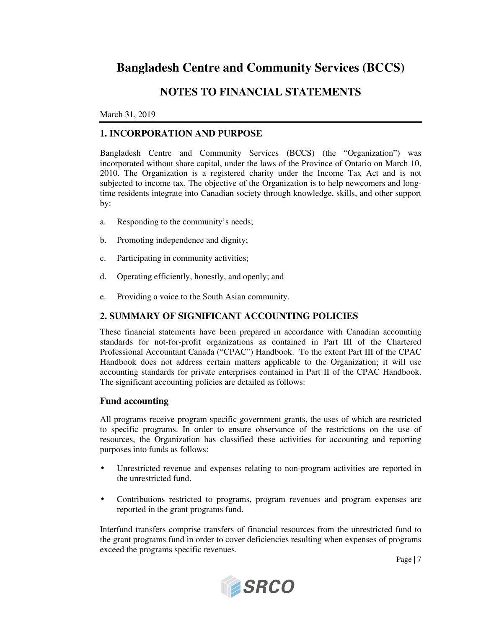### **NOTES TO FINANCIAL STATEMENTS**

#### March 31, 2019

#### **1. INCORPORATION AND PURPOSE**

Bangladesh Centre and Community Services (BCCS) (the "Organization") was incorporated without share capital, under the laws of the Province of Ontario on March 10, 2010. The Organization is a registered charity under the Income Tax Act and is not subjected to income tax. The objective of the Organization is to help newcomers and longtime residents integrate into Canadian society through knowledge, skills, and other support by:

- a. Responding to the community's needs;
- b. Promoting independence and dignity;
- c. Participating in community activities;
- d. Operating efficiently, honestly, and openly; and
- e. Providing a voice to the South Asian community.

#### **2. SUMMARY OF SIGNIFICANT ACCOUNTING POLICIES**

These financial statements have been prepared in accordance with Canadian accounting standards for not-for-profit organizations as contained in Part III of the Chartered Professional Accountant Canada ("CPAC") Handbook. To the extent Part III of the CPAC Handbook does not address certain matters applicable to the Organization; it will use accounting standards for private enterprises contained in Part II of the CPAC Handbook. The significant accounting policies are detailed as follows:

#### **Fund accounting**

All programs receive program specific government grants, the uses of which are restricted to specific programs. In order to ensure observance of the restrictions on the use of resources, the Organization has classified these activities for accounting and reporting purposes into funds as follows:

- Unrestricted revenue and expenses relating to non-program activities are reported in the unrestricted fund.
- Contributions restricted to programs, program revenues and program expenses are reported in the grant programs fund.

Interfund transfers comprise transfers of financial resources from the unrestricted fund to the grant programs fund in order to cover deficiencies resulting when expenses of programs exceed the programs specific revenues.

Page | 7

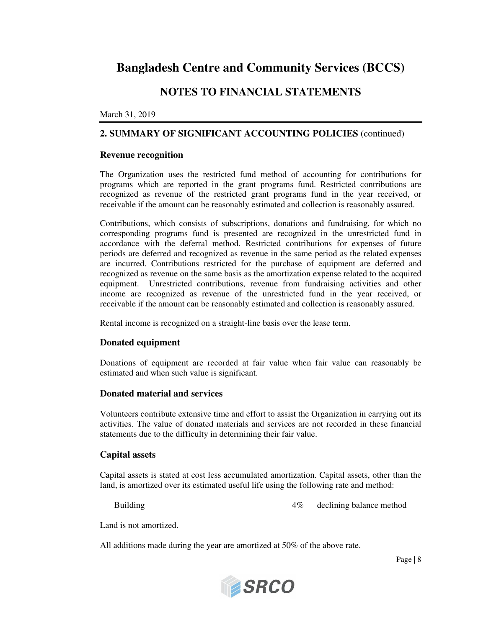### **NOTES TO FINANCIAL STATEMENTS**

#### March 31, 2019

#### **2. SUMMARY OF SIGNIFICANT ACCOUNTING POLICIES** (continued)

#### **Revenue recognition**

The Organization uses the restricted fund method of accounting for contributions for programs which are reported in the grant programs fund. Restricted contributions are recognized as revenue of the restricted grant programs fund in the year received, or receivable if the amount can be reasonably estimated and collection is reasonably assured.

Contributions, which consists of subscriptions, donations and fundraising, for which no corresponding programs fund is presented are recognized in the unrestricted fund in accordance with the deferral method. Restricted contributions for expenses of future periods are deferred and recognized as revenue in the same period as the related expenses are incurred. Contributions restricted for the purchase of equipment are deferred and recognized as revenue on the same basis as the amortization expense related to the acquired equipment. Unrestricted contributions, revenue from fundraising activities and other income are recognized as revenue of the unrestricted fund in the year received, or receivable if the amount can be reasonably estimated and collection is reasonably assured.

Rental income is recognized on a straight-line basis over the lease term.

#### **Donated equipment**

Donations of equipment are recorded at fair value when fair value can reasonably be estimated and when such value is significant.

#### **Donated material and services**

Volunteers contribute extensive time and effort to assist the Organization in carrying out its activities. The value of donated materials and services are not recorded in these financial statements due to the difficulty in determining their fair value.

#### **Capital assets**

Capital assets is stated at cost less accumulated amortization. Capital assets, other than the land, is amortized over its estimated useful life using the following rate and method:

Building  $4\%$  declining balance method

Land is not amortized.

All additions made during the year are amortized at 50% of the above rate.

Page | 8

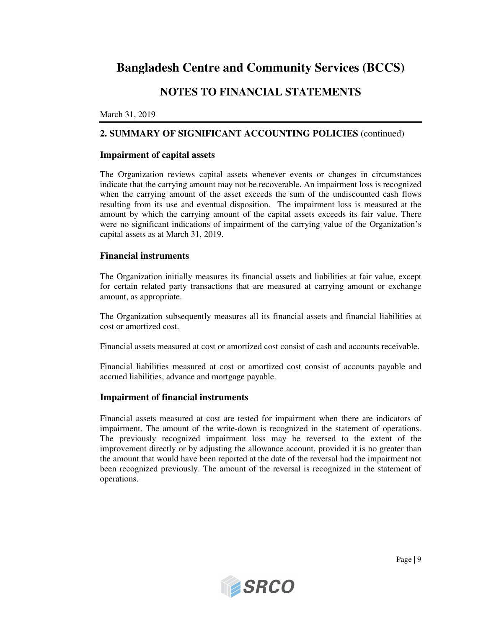### **NOTES TO FINANCIAL STATEMENTS**

#### March 31, 2019

#### **2. SUMMARY OF SIGNIFICANT ACCOUNTING POLICIES** (continued)

#### **Impairment of capital assets**

The Organization reviews capital assets whenever events or changes in circumstances indicate that the carrying amount may not be recoverable. An impairment loss is recognized when the carrying amount of the asset exceeds the sum of the undiscounted cash flows resulting from its use and eventual disposition. The impairment loss is measured at the amount by which the carrying amount of the capital assets exceeds its fair value. There were no significant indications of impairment of the carrying value of the Organization's capital assets as at March 31, 2019.

#### **Financial instruments**

The Organization initially measures its financial assets and liabilities at fair value, except for certain related party transactions that are measured at carrying amount or exchange amount, as appropriate.

The Organization subsequently measures all its financial assets and financial liabilities at cost or amortized cost.

Financial assets measured at cost or amortized cost consist of cash and accounts receivable.

Financial liabilities measured at cost or amortized cost consist of accounts payable and accrued liabilities, advance and mortgage payable.

#### **Impairment of financial instruments**

Financial assets measured at cost are tested for impairment when there are indicators of impairment. The amount of the write-down is recognized in the statement of operations. The previously recognized impairment loss may be reversed to the extent of the improvement directly or by adjusting the allowance account, provided it is no greater than the amount that would have been reported at the date of the reversal had the impairment not been recognized previously. The amount of the reversal is recognized in the statement of operations.

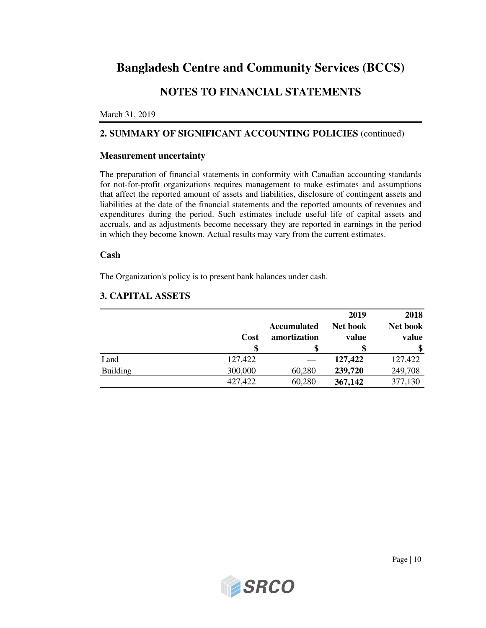## **NOTES TO FINANCIAL STATEMENTS**

#### March 31, 2019

### **2. SUMMARY OF SIGNIFICANT ACCOUNTING POLICIES** (continued)

#### **Measurement uncertainty**

The preparation of financial statements in conformity with Canadian accounting standards for not-for-profit organizations requires management to make estimates and assumptions that affect the reported amount of assets and liabilities, disclosure of contingent assets and liabilities at the date of the financial statements and the reported amounts of revenues and expenditures during the period. Such estimates include useful life of capital assets and accruals, and as adjustments become necessary they are reported in earnings in the period in which they become known. Actual results may vary from the current estimates.

#### **Cash**

The Organization's policy is to present bank balances under cash.

### **3. CAPITAL ASSETS**

|                 | Cost    | <b>Accumulated</b><br>amortization | 2019<br>Net book<br>value | 2018<br>Net book<br>value |
|-----------------|---------|------------------------------------|---------------------------|---------------------------|
| Land            | 127,422 |                                    | 127,422                   | 127,422                   |
| <b>Building</b> | 300,000 | 60,280                             | 239,720                   | 249,708                   |
|                 | 427,422 | 60,280                             | 367,142                   | 377,130                   |

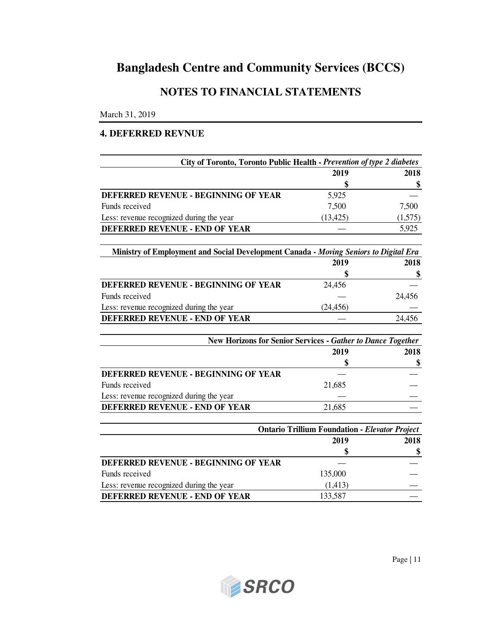## **NOTES TO FINANCIAL STATEMENTS**

March 31, 2019

#### **4. DEFERRED REVNUE**

| City of Toronto, Toronto Public Health - Prevention of type 2 diabetes               |                                                       |         |
|--------------------------------------------------------------------------------------|-------------------------------------------------------|---------|
|                                                                                      | 2019                                                  | 2018    |
|                                                                                      | \$                                                    | \$      |
| DEFERRED REVENUE - BEGINNING OF YEAR                                                 | 5,925                                                 |         |
| Funds received                                                                       | 7,500                                                 | 7,500   |
| Less: revenue recognized during the year                                             | (13, 425)                                             | (1,575) |
| DEFERRED REVENUE - END OF YEAR                                                       |                                                       | 5,925   |
| Ministry of Employment and Social Development Canada - Moving Seniors to Digital Era |                                                       |         |
|                                                                                      | 2019                                                  | 2018    |
|                                                                                      | \$                                                    | \$      |
| DEFERRED REVENUE - BEGINNING OF YEAR                                                 | 24,456                                                |         |
| Funds received                                                                       |                                                       | 24,456  |
| Less: revenue recognized during the year                                             | (24, 456)                                             |         |
| DEFERRED REVENUE - END OF YEAR                                                       |                                                       | 24,456  |
| New Horizons for Senior Services - Gather to Dance Together                          |                                                       |         |
|                                                                                      | 2019                                                  | 2018    |
|                                                                                      | \$                                                    | \$      |
| DEFERRED REVENUE - BEGINNING OF YEAR                                                 |                                                       |         |
| Funds received                                                                       | 21,685                                                |         |
| Less: revenue recognized during the year                                             |                                                       |         |
| DEFERRED REVENUE - END OF YEAR                                                       | 21,685                                                |         |
|                                                                                      | <b>Ontario Trillium Foundation - Elevator Project</b> |         |
|                                                                                      | 2019                                                  | 2018    |
|                                                                                      |                                                       | \$      |
| DEFERRED REVENUE - BEGINNING OF YEAR                                                 |                                                       |         |
| Funds received                                                                       | 135,000                                               |         |
| Less: revenue recognized during the year                                             | (1, 413)                                              |         |



**DEFERRED REVENUE - END OF YEAR** 133,587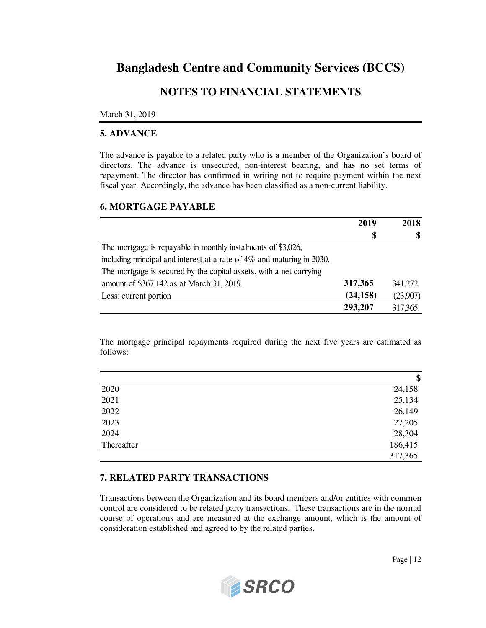### **NOTES TO FINANCIAL STATEMENTS**

#### March 31, 2019

#### **5. ADVANCE**

The advance is payable to a related party who is a member of the Organization's board of directors. The advance is unsecured, non-interest bearing, and has no set terms of repayment. The director has confirmed in writing not to require payment within the next fiscal year. Accordingly, the advance has been classified as a non-current liability.

#### **6. MORTGAGE PAYABLE**

|                                                                        | 2019      | 2018     |
|------------------------------------------------------------------------|-----------|----------|
|                                                                        | \$        | \$       |
| The mortgage is repayable in monthly instalments of \$3,026,           |           |          |
| including principal and interest at a rate of 4% and maturing in 2030. |           |          |
| The mortgage is secured by the capital assets, with a net carrying     |           |          |
| amount of \$367,142 as at March 31, 2019.                              | 317,365   | 341.272  |
| Less: current portion                                                  | (24, 158) | (23,907) |
|                                                                        | 293,207   | 317,365  |

The mortgage principal repayments required during the next five years are estimated as follows:

|            | \$      |
|------------|---------|
| 2020       | 24,158  |
| 2021       | 25,134  |
| 2022       | 26,149  |
| 2023       | 27,205  |
| 2024       | 28,304  |
| Thereafter | 186,415 |
|            | 317,365 |

### **7. RELATED PARTY TRANSACTIONS**

Transactions between the Organization and its board members and/or entities with common control are considered to be related party transactions. These transactions are in the normal course of operations and are measured at the exchange amount, which is the amount of consideration established and agreed to by the related parties.

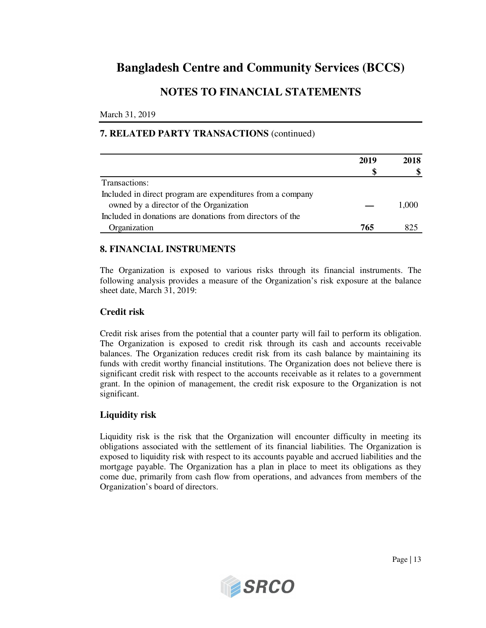### **NOTES TO FINANCIAL STATEMENTS**

March 31, 2019

### **7. RELATED PARTY TRANSACTIONS** (continued)

|                                                            | 2019 | 2018  |
|------------------------------------------------------------|------|-------|
|                                                            | \$   |       |
| Transactions:                                              |      |       |
| Included in direct program are expenditures from a company |      |       |
| owned by a director of the Organization                    |      | 1.000 |
| Included in donations are donations from directors of the  |      |       |
| Organization                                               | 765  |       |

### **8. FINANCIAL INSTRUMENTS**

The Organization is exposed to various risks through its financial instruments. The following analysis provides a measure of the Organization's risk exposure at the balance sheet date, March 31, 2019:

#### **Credit risk**

Credit risk arises from the potential that a counter party will fail to perform its obligation. The Organization is exposed to credit risk through its cash and accounts receivable balances. The Organization reduces credit risk from its cash balance by maintaining its funds with credit worthy financial institutions. The Organization does not believe there is significant credit risk with respect to the accounts receivable as it relates to a government grant. In the opinion of management, the credit risk exposure to the Organization is not significant.

### **Liquidity risk**

Liquidity risk is the risk that the Organization will encounter difficulty in meeting its obligations associated with the settlement of its financial liabilities. The Organization is exposed to liquidity risk with respect to its accounts payable and accrued liabilities and the mortgage payable. The Organization has a plan in place to meet its obligations as they come due, primarily from cash flow from operations, and advances from members of the Organization's board of directors.